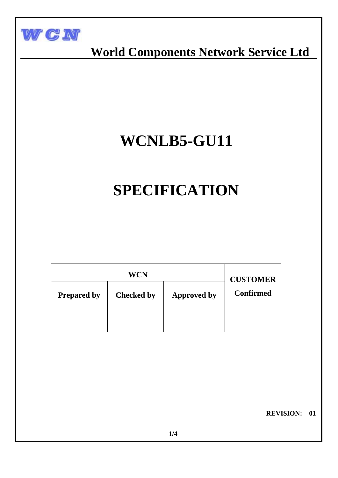

 **World Components Network Service Ltd**

# **WCNLB5-GU11**

# **SPECIFICATION**

|                    | <b>CUSTOMER</b>   |                    |                  |
|--------------------|-------------------|--------------------|------------------|
| <b>Prepared by</b> | <b>Checked by</b> | <b>Approved by</b> | <b>Confirmed</b> |
|                    |                   |                    |                  |

 **REVISION: 01**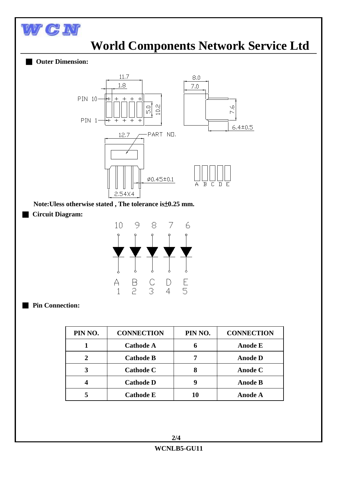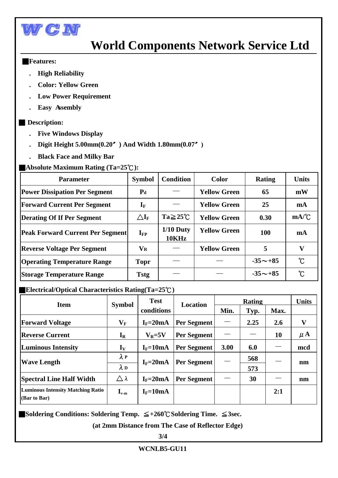

# **World Components Network Service Ltd**

#### ■**Features:**

I

- **. High Reliability**
- **. Color: Yellow Green**
- **Low Power Requirement**
- **Easy Assembly**

### ■ **Description:**

- **. Five Windows Display**
- **. Digit Height 5.00mm(0.20**〞**) And Width 1.80mm(0.07**〞**)**
- **. Black Face and Milky Bar**

## ■**Absolute Maximum Rating (Ta=25**℃**):**

| <b>Parameter</b>                        | <b>Symbol</b>                | <b>Condition</b>      | <b>Color</b>        | <b>Rating</b>  | <b>Units</b> |
|-----------------------------------------|------------------------------|-----------------------|---------------------|----------------|--------------|
| <b>Power Dissipation Per Segment</b>    | $P_d$                        |                       | <b>Yellow Green</b> | 65             | mW           |
| <b>Forward Current Per Segment</b>      | $\mathbf{I}_{\text{F}}$      |                       | <b>Yellow Green</b> | 25             | mA           |
| <b>Derating Of If Per Segment</b>       | $\Delta \mathbf{I}_\text{F}$ | $Ta \geq 25^{\circ}C$ | <b>Yellow Green</b> | 0.30           | mA/C         |
| <b>Peak Forward Current Per Segment</b> | $\mathbf{I}_{\text{FP}}$     | $1/10$ Duty<br>10KHz  | <b>Yellow Green</b> | <b>100</b>     | mA           |
| <b>Reverse Voltage Per Segment</b>      | $\mathbf{V}_\mathbf{R}$      |                       | <b>Yellow Green</b> | 5              | $\mathbf{V}$ |
| <b>Operating Temperature Range</b>      | <b>Topr</b>                  |                       |                     | $-35 \sim +85$ | °C           |
| <b>Storage Temperature Range</b>        | <b>Tstg</b>                  |                       |                     | $-35 \sim +85$ | $\rm ^{o}C$  |

## ■**Electrical/Optical Characteristics Rating(Ta=25**℃**)**

| <b>Item</b>                                              | <b>Symbol</b>                      | <b>Test</b><br>conditions | <b>Location</b>    | <b>Rating</b> |      |      | <b>Units</b> |
|----------------------------------------------------------|------------------------------------|---------------------------|--------------------|---------------|------|------|--------------|
|                                                          |                                    |                           |                    | Min.          | Typ. | Max. |              |
| <b>Forward Voltage</b>                                   | $\mathbf{V}_\mathbf{F}$            | $I_F = 20mA$              | Per Segment        |               | 2.25 | 2.6  | V            |
| <b>Reverse Current</b>                                   | $I_R$                              | $V_R = 5V$                | Per Segment        |               |      | 10   | $\mu$ A      |
| <b>Luminous Intensity</b>                                | $I_V$                              | $I_F = 10mA$              | Per Segment        | 3.00          | 6.0  |      | mcd          |
| <b>Wave Length</b>                                       | $\lambda P$                        | $I_F = 20mA$              | Per Segment        |               | 568  |      | nm           |
|                                                          | $\lambda$ D                        |                           |                    |               | 573  |      |              |
| <b>Spectral Line Half Width</b>                          | Δλ                                 | $I_F = 20mA$              | <b>Per Segment</b> |               | 30   |      | nm           |
| <b>Luminous Intensity Matching Ratio</b><br>(Bar to Bar) | $\mathbf{I}_{\mathrm{v}\text{-m}}$ | $I_F = 10mA$              |                    |               |      | 2:1  |              |

■**Soldering Conditions: Soldering Temp.** ≦**+260**℃**Soldering Time.** ≦**3sec.**

 **(at 2mm Distance from The Case of Reflector Edge)**